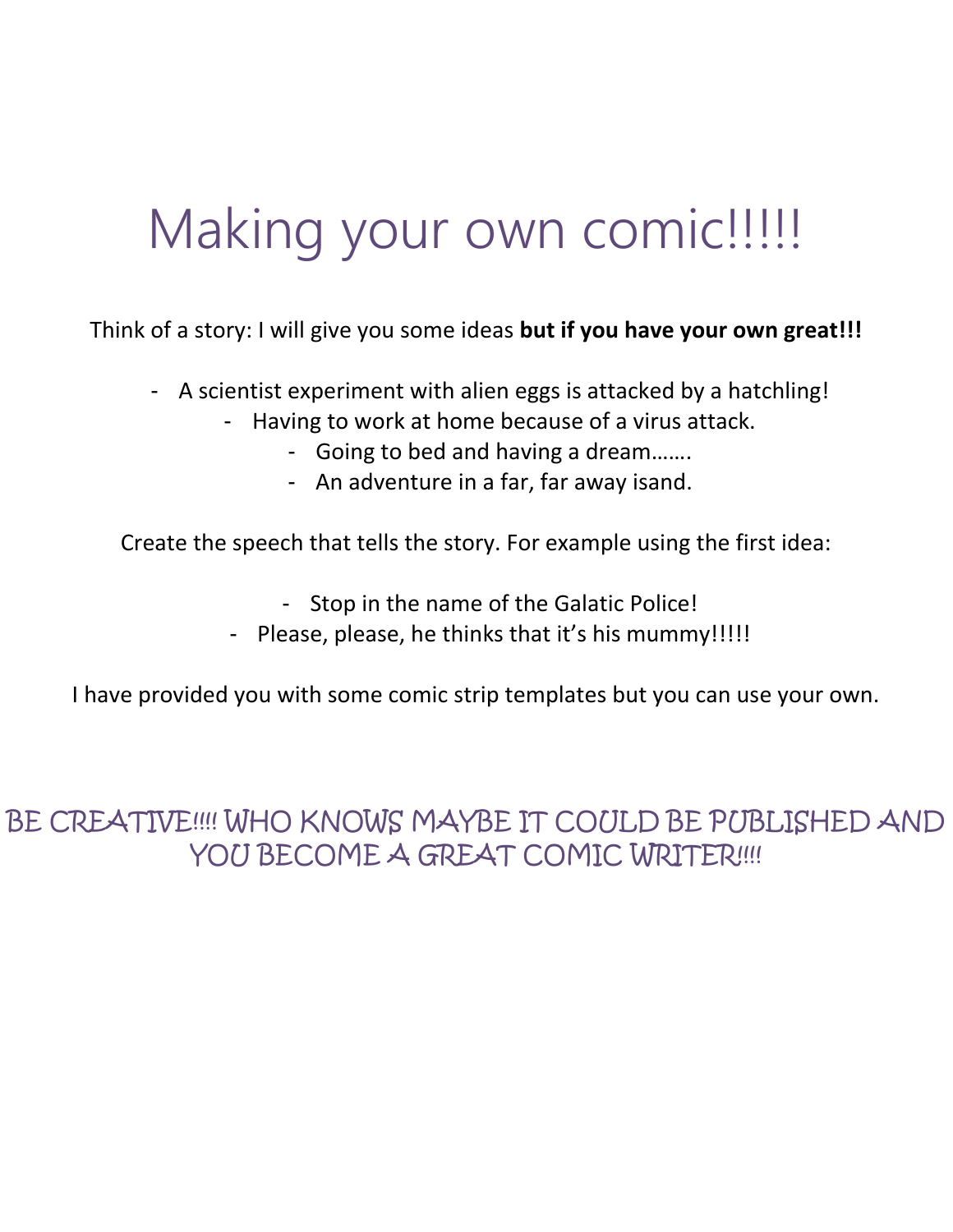## Making your own comic!!!!!

Think of a story: I will give you some ideas **but if you have your own great!!!**

- A scientist experiment with alien eggs is attacked by a hatchling!
	- Having to work at home because of a virus attack.
		- Going to bed and having a dream…….
		- An adventure in a far, far away isand.

Create the speech that tells the story. For example using the first idea:

- Stop in the name of the Galatic Police!
- Please, please, he thinks that it's his mummy!!!!!

I have provided you with some comic strip templates but you can use your own.

BE CREATIVE!!!! WHO KNOWS MAYBE IT COULD BE PUBLISHED AND YOU BECOME A GREAT COMIC WRITER!!!!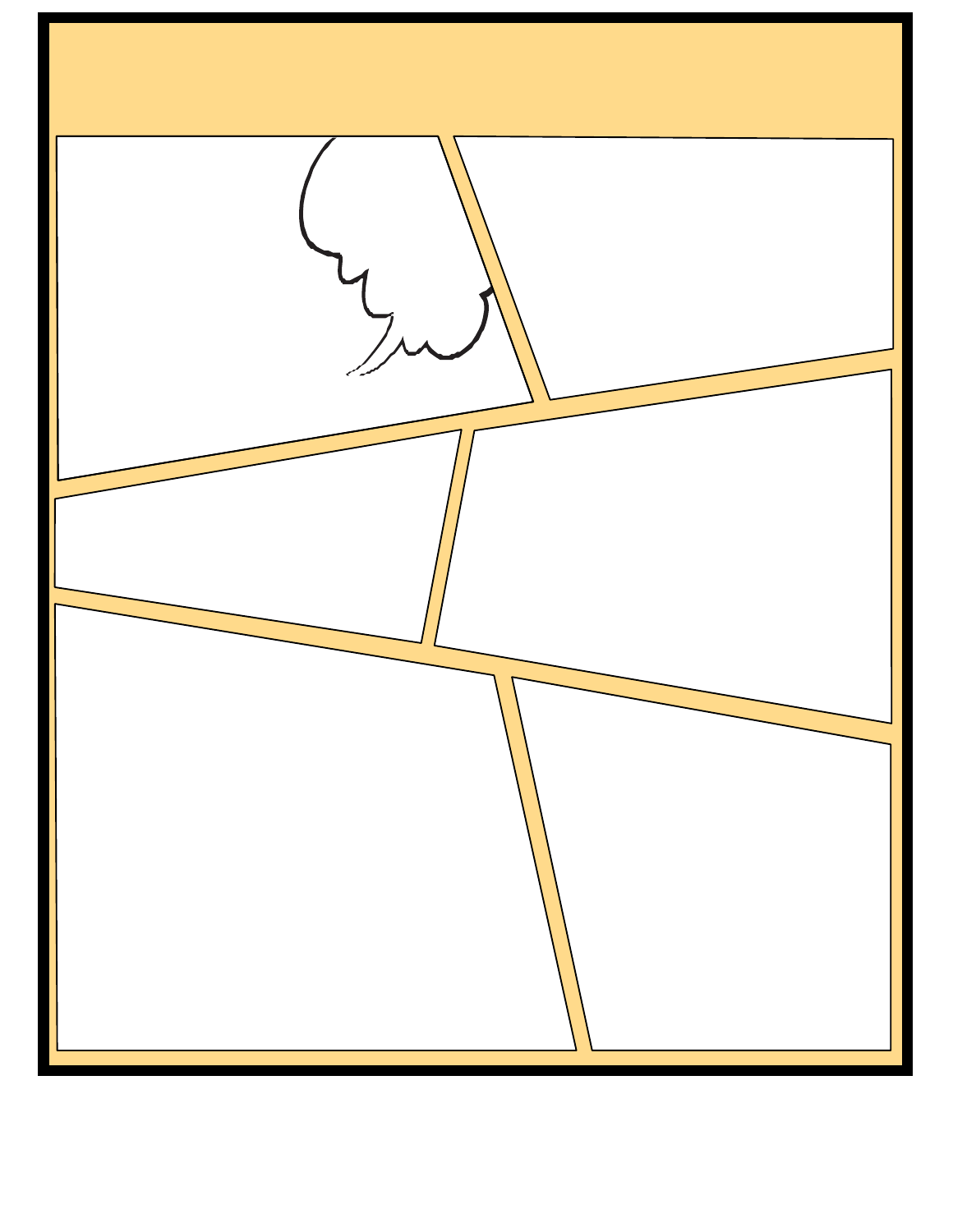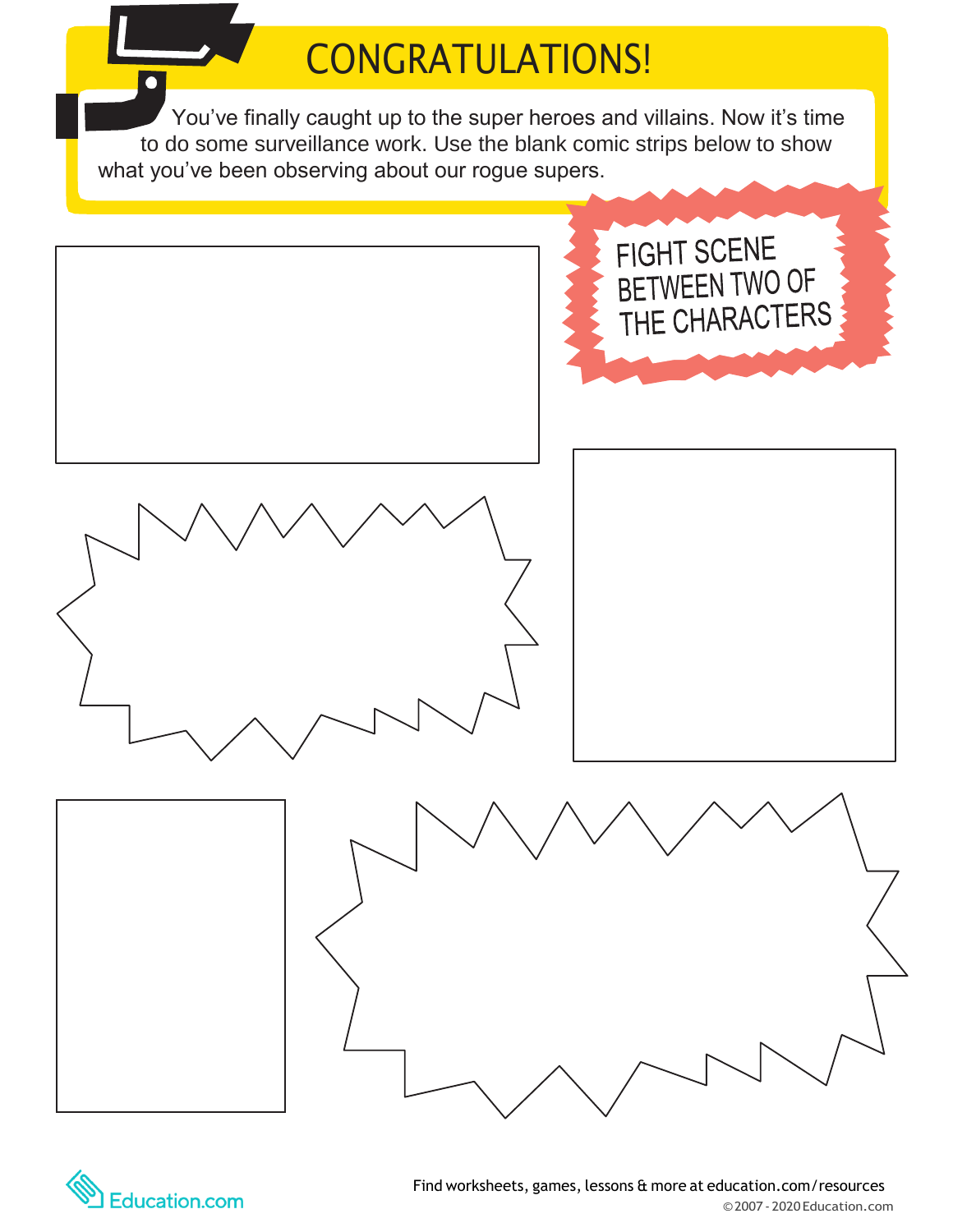

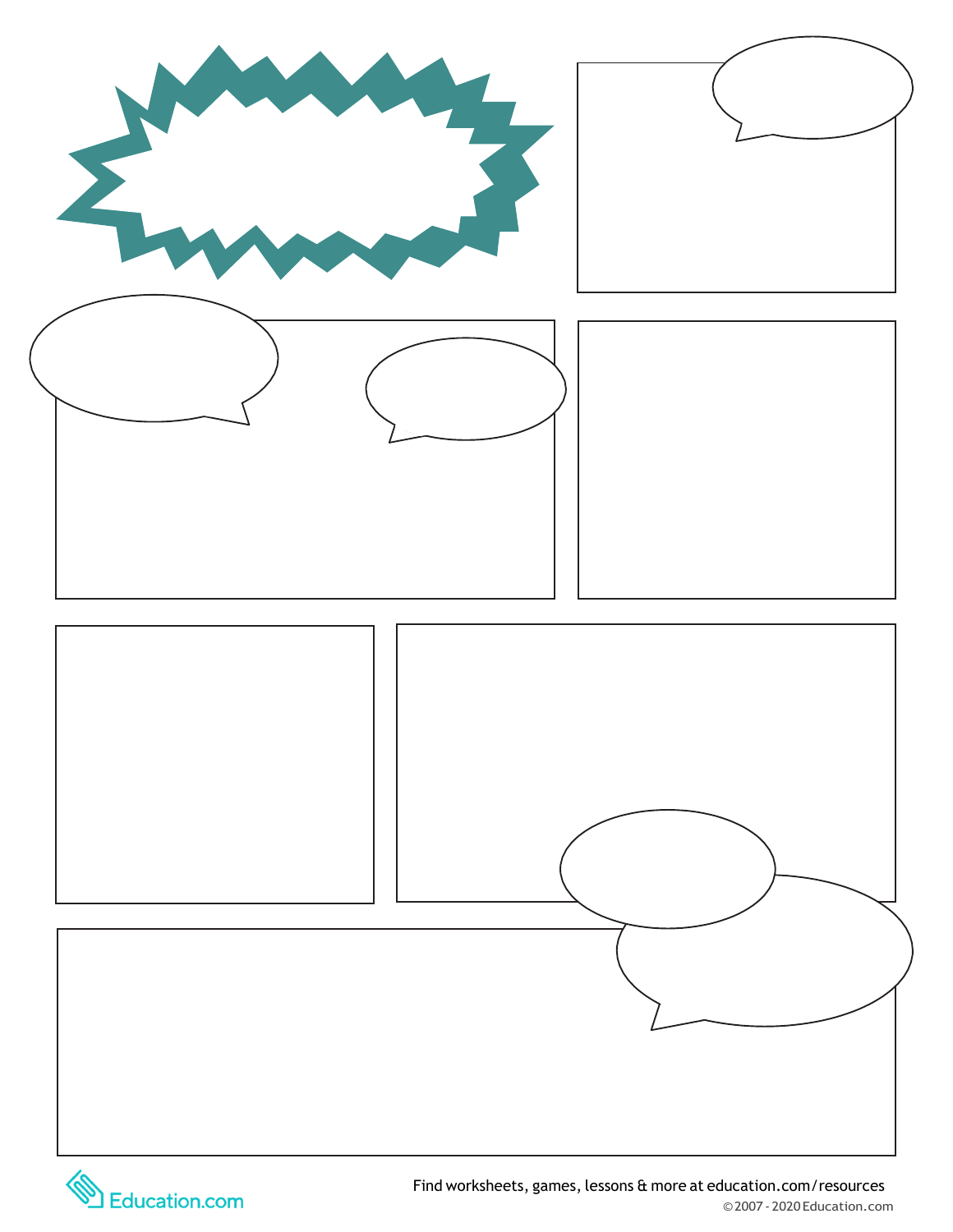



Find worksheets, games, lessons & more at education.com/resources ©2007- 2020Education.com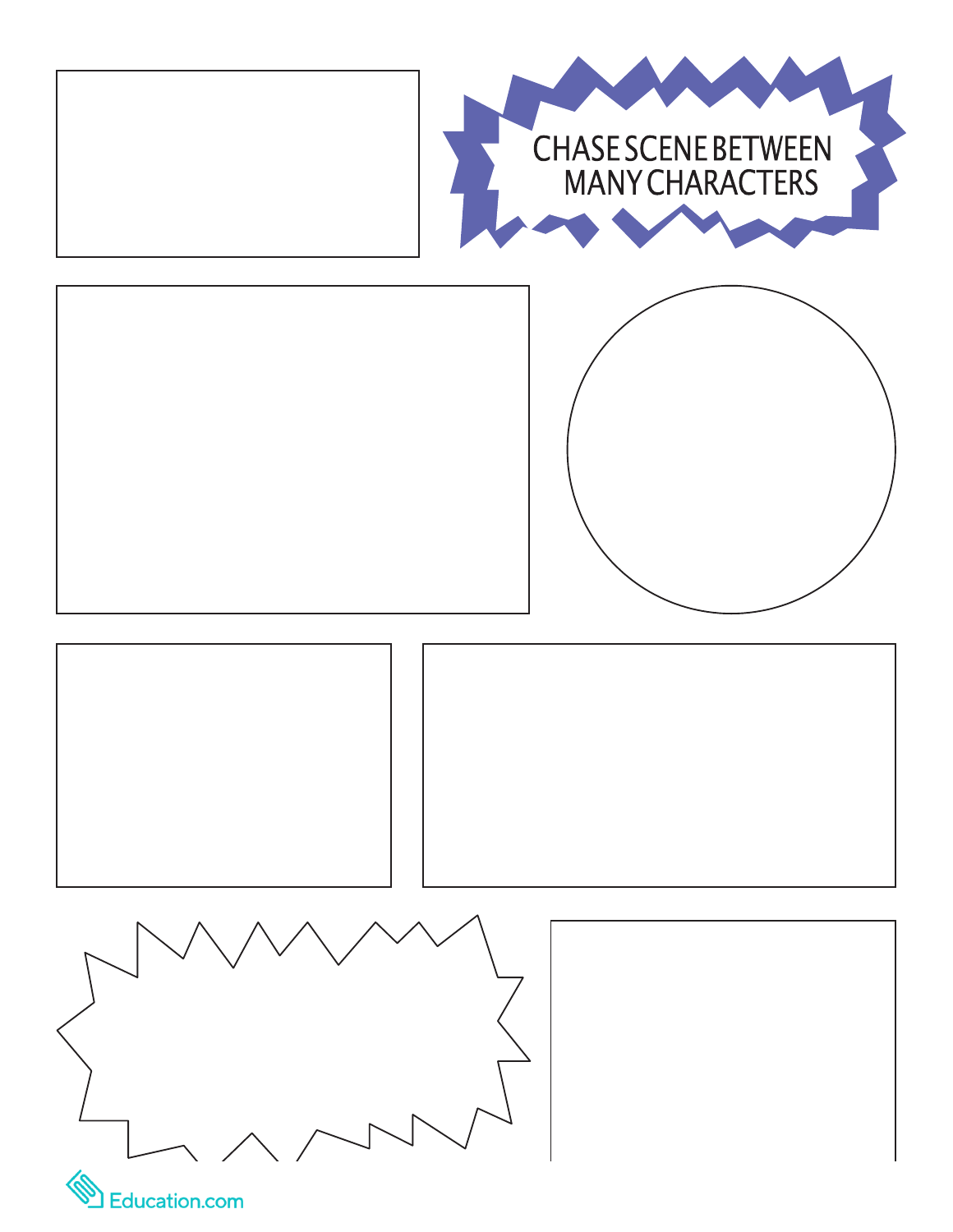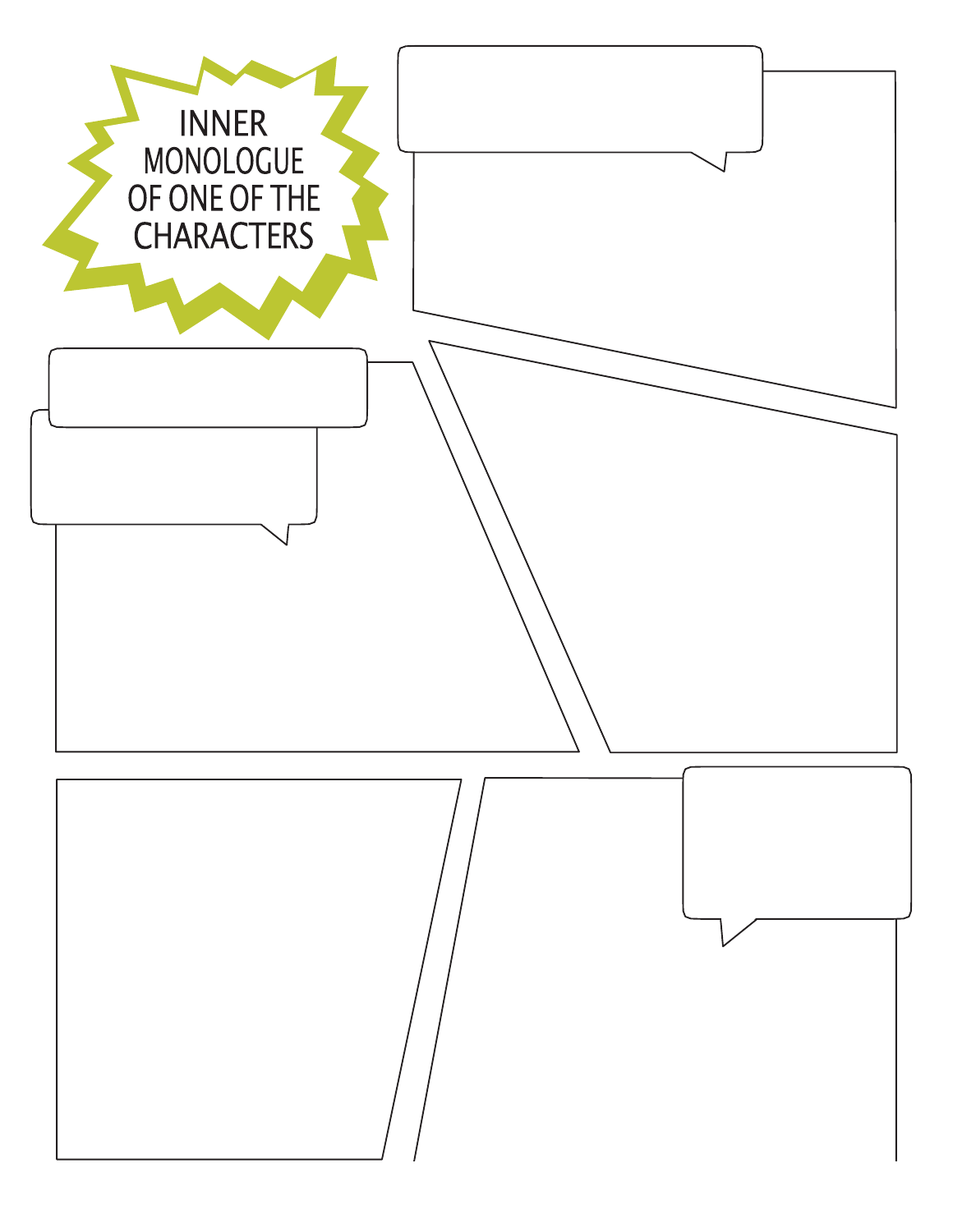